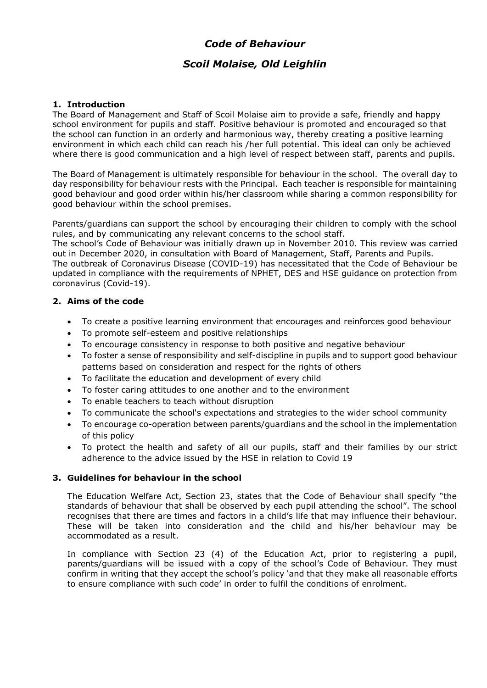# *Code of Behaviour*

# *Scoil Molaise, Old Leighlin*

### **1. Introduction**

The Board of Management and Staff of Scoil Molaise aim to provide a safe, friendly and happy school environment for pupils and staff. Positive behaviour is promoted and encouraged so that the school can function in an orderly and harmonious way, thereby creating a positive learning environment in which each child can reach his /her full potential. This ideal can only be achieved where there is good communication and a high level of respect between staff, parents and pupils.

The Board of Management is ultimately responsible for behaviour in the school. The overall day to day responsibility for behaviour rests with the Principal. Each teacher is responsible for maintaining good behaviour and good order within his/her classroom while sharing a common responsibility for good behaviour within the school premises.

Parents/guardians can support the school by encouraging their children to comply with the school rules, and by communicating any relevant concerns to the school staff.

The school's Code of Behaviour was initially drawn up in November 2010. This review was carried out in December 2020, in consultation with Board of Management, Staff, Parents and Pupils.

The outbreak of Coronavirus Disease (COVID-19) has necessitated that the Code of Behaviour be updated in compliance with the requirements of NPHET, DES and HSE guidance on protection from coronavirus (Covid-19).

### **2. Aims of the code**

- To create a positive learning environment that encourages and reinforces good behaviour
- To promote self-esteem and positive relationships
- To encourage consistency in response to both positive and negative behaviour
- To foster a sense of responsibility and self-discipline in pupils and to support good behaviour patterns based on consideration and respect for the rights of others
- To facilitate the education and development of every child
- To foster caring attitudes to one another and to the environment
- To enable teachers to teach without disruption
- To communicate the school's expectations and strategies to the wider school community
- To encourage co-operation between parents/guardians and the school in the implementation of this policy
- To protect the health and safety of all our pupils, staff and their families by our strict adherence to the advice issued by the HSE in relation to Covid 19

#### **3. Guidelines for behaviour in the school**

The Education Welfare Act, Section 23, states that the Code of Behaviour shall specify "the standards of behaviour that shall be observed by each pupil attending the school". The school recognises that there are times and factors in a child's life that may influence their behaviour. These will be taken into consideration and the child and his/her behaviour may be accommodated as a result.

In compliance with Section 23 (4) of the Education Act, prior to registering a pupil, parents/guardians will be issued with a copy of the school's Code of Behaviour. They must confirm in writing that they accept the school's policy 'and that they make all reasonable efforts to ensure compliance with such code' in order to fulfil the conditions of enrolment.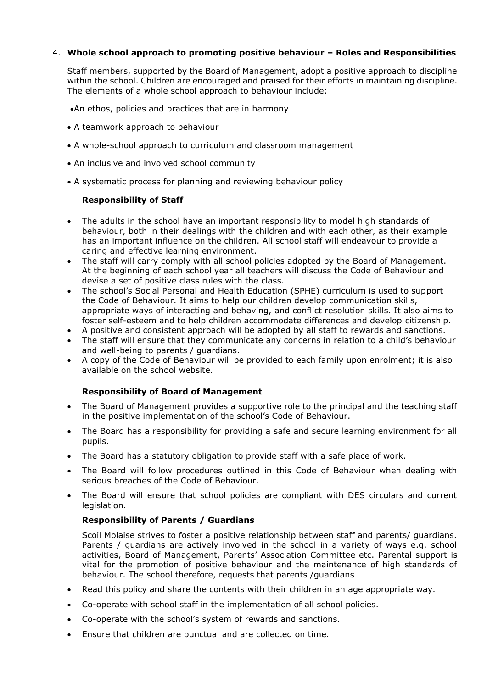# 4. **Whole school approach to promoting positive behaviour – Roles and Responsibilities**

Staff members, supported by the Board of Management, adopt a positive approach to discipline within the school. Children are encouraged and praised for their efforts in maintaining discipline. The elements of a whole school approach to behaviour include:

•An ethos, policies and practices that are in harmony

- A teamwork approach to behaviour
- A whole-school approach to curriculum and classroom management
- An inclusive and involved school community
- A systematic process for planning and reviewing behaviour policy

#### **Responsibility of Staff**

- The adults in the school have an important responsibility to model high standards of behaviour, both in their dealings with the children and with each other, as their example has an important influence on the children. All school staff will endeavour to provide a caring and effective learning environment.
- The staff will carry comply with all school policies adopted by the Board of Management. At the beginning of each school year all teachers will discuss the Code of Behaviour and devise a set of positive class rules with the class.
- The school's Social Personal and Health Education (SPHE) curriculum is used to support the Code of Behaviour. It aims to help our children develop communication skills, appropriate ways of interacting and behaving, and conflict resolution skills. It also aims to foster self-esteem and to help children accommodate differences and develop citizenship.
- A positive and consistent approach will be adopted by all staff to rewards and sanctions.
- The staff will ensure that they communicate any concerns in relation to a child's behaviour and well-being to parents / guardians.
- A copy of the Code of Behaviour will be provided to each family upon enrolment; it is also available on the school website.

#### **Responsibility of Board of Management**

- The Board of Management provides a supportive role to the principal and the teaching staff in the positive implementation of the school's Code of Behaviour.
- The Board has a responsibility for providing a safe and secure learning environment for all pupils.
- The Board has a statutory obligation to provide staff with a safe place of work.
- The Board will follow procedures outlined in this Code of Behaviour when dealing with serious breaches of the Code of Behaviour.
- The Board will ensure that school policies are compliant with DES circulars and current legislation.

#### **Responsibility of Parents / Guardians**

Scoil Molaise strives to foster a positive relationship between staff and parents/ guardians. Parents / quardians are actively involved in the school in a variety of ways e.g. school activities, Board of Management, Parents' Association Committee etc. Parental support is vital for the promotion of positive behaviour and the maintenance of high standards of behaviour. The school therefore, requests that parents /guardians

- Read this policy and share the contents with their children in an age appropriate way.
- Co-operate with school staff in the implementation of all school policies.
- Co-operate with the school's system of rewards and sanctions.
- Ensure that children are punctual and are collected on time.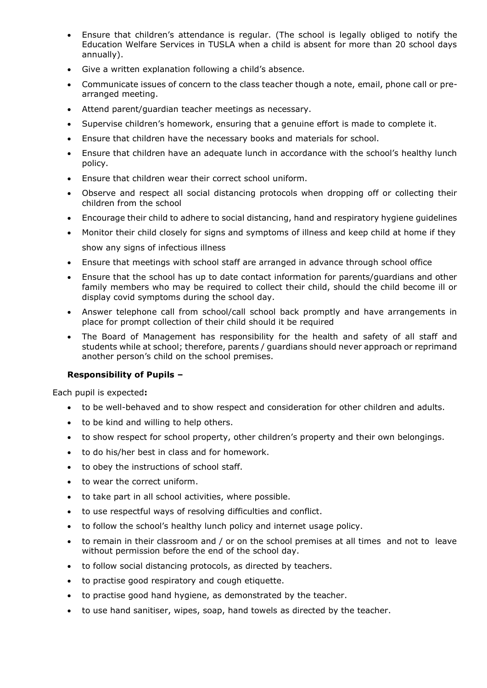- Ensure that children's attendance is regular. (The school is legally obliged to notify the Education Welfare Services in TUSLA when a child is absent for more than 20 school days annually).
- Give a written explanation following a child's absence.
- Communicate issues of concern to the class teacher though a note, email, phone call or prearranged meeting.
- Attend parent/guardian teacher meetings as necessary.
- Supervise children's homework, ensuring that a genuine effort is made to complete it.
- Ensure that children have the necessary books and materials for school.
- Ensure that children have an adequate lunch in accordance with the school's healthy lunch policy.
- Ensure that children wear their correct school uniform.
- Observe and respect all social distancing protocols when dropping off or collecting their children from the school
- Encourage their child to adhere to social distancing, hand and respiratory hygiene guidelines
- Monitor their child closely for signs and symptoms of illness and keep child at home if they show any signs of infectious illness
- Ensure that meetings with school staff are arranged in advance through school office
- Ensure that the school has up to date contact information for parents/guardians and other family members who may be required to collect their child, should the child become ill or display covid symptoms during the school day.
- Answer telephone call from school/call school back promptly and have arrangements in place for prompt collection of their child should it be required
- The Board of Management has responsibility for the health and safety of all staff and students while at school; therefore, parents / guardians should never approach or reprimand another person's child on the school premises.

# **Responsibility of Pupils –**

Each pupil is expected**:**

- to be well-behaved and to show respect and consideration for other children and adults.
- to be kind and willing to help others.
- to show respect for school property, other children's property and their own belongings.
- to do his/her best in class and for homework.
- to obey the instructions of school staff.
- to wear the correct uniform.
- to take part in all school activities, where possible.
- to use respectful ways of resolving difficulties and conflict.
- to follow the school's healthy lunch policy and internet usage policy.
- to remain in their classroom and / or on the school premises at all times and not to leave without permission before the end of the school day.
- to follow social distancing protocols, as directed by teachers.
- to practise good respiratory and cough etiquette.
- to practise good hand hygiene, as demonstrated by the teacher.
- to use hand sanitiser, wipes, soap, hand towels as directed by the teacher.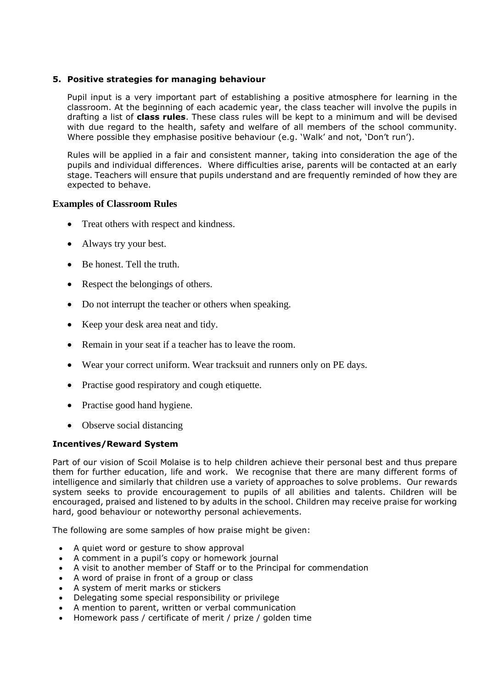### **5. Positive strategies for managing behaviour**

Pupil input is a very important part of establishing a positive atmosphere for learning in the classroom. At the beginning of each academic year, the class teacher will involve the pupils in drafting a list of **class rules**. These class rules will be kept to a minimum and will be devised with due regard to the health, safety and welfare of all members of the school community. Where possible they emphasise positive behaviour (e.g. 'Walk' and not, 'Don't run').

Rules will be applied in a fair and consistent manner, taking into consideration the age of the pupils and individual differences. Where difficulties arise, parents will be contacted at an early stage. Teachers will ensure that pupils understand and are frequently reminded of how they are expected to behave.

### **Examples of Classroom Rules**

- Treat others with respect and kindness.
- Always try your best.
- Be honest. Tell the truth.
- Respect the belongings of others.
- Do not interrupt the teacher or others when speaking.
- Keep your desk area neat and tidy.
- Remain in your seat if a teacher has to leave the room.
- Wear your correct uniform. Wear tracksuit and runners only on PE days.
- Practise good respiratory and cough etiquette.
- Practise good hand hygiene.
- Observe social distancing

# **Incentives/Reward System**

Part of our vision of Scoil Molaise is to help children achieve their personal best and thus prepare them for further education, life and work. We recognise that there are many different forms of intelligence and similarly that children use a variety of approaches to solve problems. Our rewards system seeks to provide encouragement to pupils of all abilities and talents. Children will be encouraged, praised and listened to by adults in the school. Children may receive praise for working hard, good behaviour or noteworthy personal achievements.

The following are some samples of how praise might be given:

- A quiet word or gesture to show approval
- A comment in a pupil's copy or homework journal
- A visit to another member of Staff or to the Principal for commendation
- A word of praise in front of a group or class
- A system of merit marks or stickers
- Delegating some special responsibility or privilege
- A mention to parent, written or verbal communication
- Homework pass / certificate of merit / prize / golden time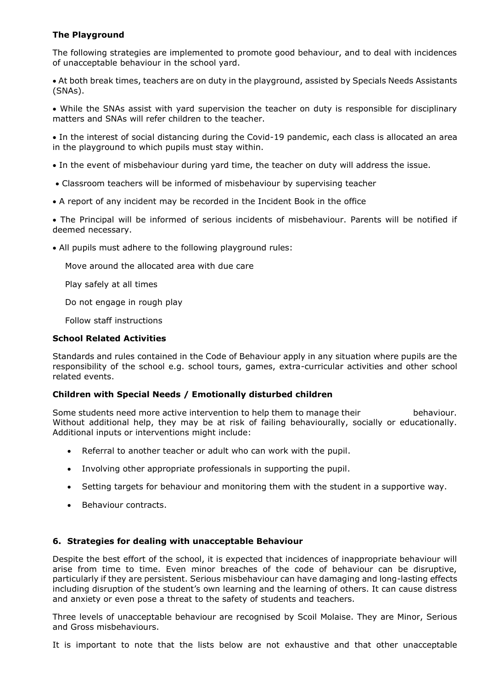# **The Playground**

The following strategies are implemented to promote good behaviour, and to deal with incidences of unacceptable behaviour in the school yard.

• At both break times, teachers are on duty in the playground, assisted by Specials Needs Assistants (SNAs).

• While the SNAs assist with yard supervision the teacher on duty is responsible for disciplinary matters and SNAs will refer children to the teacher.

• In the interest of social distancing during the Covid-19 pandemic, each class is allocated an area in the playground to which pupils must stay within.

• In the event of misbehaviour during yard time, the teacher on duty will address the issue.

- Classroom teachers will be informed of misbehaviour by supervising teacher
- A report of any incident may be recorded in the Incident Book in the office

• The Principal will be informed of serious incidents of misbehaviour. Parents will be notified if deemed necessary.

• All pupils must adhere to the following playground rules:

Move around the allocated area with due care

Play safely at all times

Do not engage in rough play

Follow staff instructions

# **School Related Activities**

Standards and rules contained in the Code of Behaviour apply in any situation where pupils are the responsibility of the school e.g. school tours, games, extra-curricular activities and other school related events.

# **Children with Special Needs / Emotionally disturbed children**

Some students need more active intervention to help them to manage their behaviour. Without additional help, they may be at risk of failing behaviourally, socially or educationally. Additional inputs or interventions might include:

- Referral to another teacher or adult who can work with the pupil.
- Involving other appropriate professionals in supporting the pupil.
- Setting targets for behaviour and monitoring them with the student in a supportive way.
- Behaviour contracts.

#### **6. Strategies for dealing with unacceptable Behaviour**

Despite the best effort of the school, it is expected that incidences of inappropriate behaviour will arise from time to time. Even minor breaches of the code of behaviour can be disruptive, particularly if they are persistent. Serious misbehaviour can have damaging and long-lasting effects including disruption of the student's own learning and the learning of others. It can cause distress and anxiety or even pose a threat to the safety of students and teachers.

Three levels of unacceptable behaviour are recognised by Scoil Molaise. They are Minor, Serious and Gross misbehaviours.

It is important to note that the lists below are not exhaustive and that other unacceptable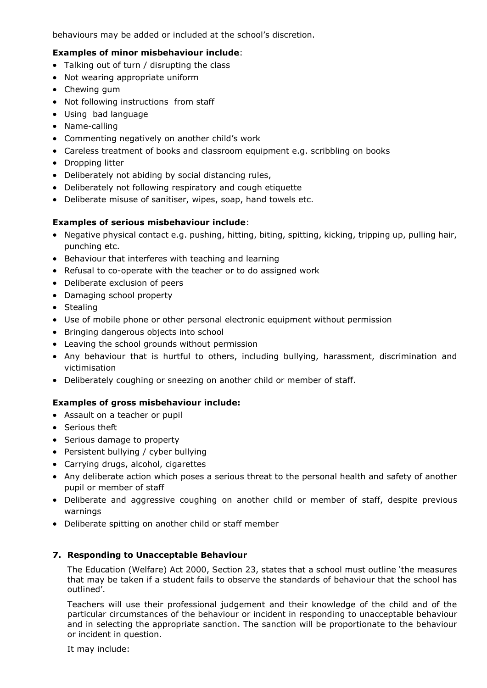behaviours may be added or included at the school's discretion.

### **Examples of minor misbehaviour include**:

- Talking out of turn / disrupting the class
- Not wearing appropriate uniform
- Chewing gum
- Not following instructions from staff
- Using bad language
- Name-calling
- Commenting negatively on another child's work
- Careless treatment of books and classroom equipment e.g. scribbling on books
- Dropping litter
- Deliberately not abiding by social distancing rules,
- Deliberately not following respiratory and cough etiquette
- Deliberate misuse of sanitiser, wipes, soap, hand towels etc.

# **Examples of serious misbehaviour include**:

- Negative physical contact e.g. pushing, hitting, biting, spitting, kicking, tripping up, pulling hair, punching etc.
- Behaviour that interferes with teaching and learning
- Refusal to co-operate with the teacher or to do assigned work
- Deliberate exclusion of peers
- Damaging school property
- Stealing
- Use of mobile phone or other personal electronic equipment without permission
- Bringing dangerous objects into school
- Leaving the school grounds without permission
- Any behaviour that is hurtful to others, including bullying, harassment, discrimination and victimisation
- Deliberately coughing or sneezing on another child or member of staff.

# **Examples of gross misbehaviour include:**

- Assault on a teacher or pupil
- Serious theft
- Serious damage to property
- Persistent bullying / cyber bullying
- Carrying drugs, alcohol, cigarettes
- Any deliberate action which poses a serious threat to the personal health and safety of another pupil or member of staff
- Deliberate and aggressive coughing on another child or member of staff, despite previous warnings
- Deliberate spitting on another child or staff member

# **7. Responding to Unacceptable Behaviour**

The Education (Welfare) Act 2000, Section 23, states that a school must outline 'the measures that may be taken if a student fails to observe the standards of behaviour that the school has outlined'.

Teachers will use their professional judgement and their knowledge of the child and of the particular circumstances of the behaviour or incident in responding to unacceptable behaviour and in selecting the appropriate sanction. The sanction will be proportionate to the behaviour or incident in question.

It may include: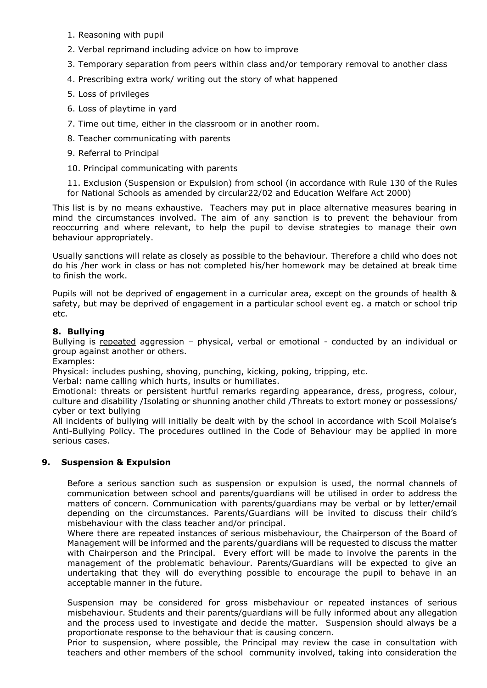- 1. Reasoning with pupil
- 2. Verbal reprimand including advice on how to improve
- 3. Temporary separation from peers within class and/or temporary removal to another class
- 4. Prescribing extra work/ writing out the story of what happened
- 5. Loss of privileges
- 6. Loss of playtime in yard
- 7. Time out time, either in the classroom or in another room.
- 8. Teacher communicating with parents
- 9. Referral to Principal
- 10. Principal communicating with parents

11. Exclusion (Suspension or Expulsion) from school (in accordance with Rule 130 of the Rules for National Schools as amended by circular22/02 and Education Welfare Act 2000)

This list is by no means exhaustive. Teachers may put in place alternative measures bearing in mind the circumstances involved. The aim of any sanction is to prevent the behaviour from reoccurring and where relevant, to help the pupil to devise strategies to manage their own behaviour appropriately.

Usually sanctions will relate as closely as possible to the behaviour. Therefore a child who does not do his /her work in class or has not completed his/her homework may be detained at break time to finish the work.

Pupils will not be deprived of engagement in a curricular area, except on the grounds of health & safety, but may be deprived of engagement in a particular school event eg. a match or school trip etc.

### **8. Bullying**

Bullying is repeated aggression – physical, verbal or emotional - conducted by an individual or group against another or others.

Examples:

Physical: includes pushing, shoving, punching, kicking, poking, tripping, etc.

Verbal: name calling which hurts, insults or humiliates.

Emotional: threats or persistent hurtful remarks regarding appearance, dress, progress, colour, culture and disability /Isolating or shunning another child /Threats to extort money or possessions/ cyber or text bullying

All incidents of bullying will initially be dealt with by the school in accordance with Scoil Molaise's Anti-Bullying Policy. The procedures outlined in the Code of Behaviour may be applied in more serious cases.

#### **9. Suspension & Expulsion**

Before a serious sanction such as suspension or expulsion is used, the normal channels of communication between school and parents/guardians will be utilised in order to address the matters of concern. Communication with parents/guardians may be verbal or by letter/email depending on the circumstances. Parents/Guardians will be invited to discuss their child's misbehaviour with the class teacher and/or principal.

Where there are repeated instances of serious misbehaviour, the Chairperson of the Board of Management will be informed and the parents/guardians will be requested to discuss the matter with Chairperson and the Principal. Every effort will be made to involve the parents in the management of the problematic behaviour. Parents/Guardians will be expected to give an undertaking that they will do everything possible to encourage the pupil to behave in an acceptable manner in the future.

Suspension may be considered for gross misbehaviour or repeated instances of serious misbehaviour. Students and their parents/guardians will be fully informed about any allegation and the process used to investigate and decide the matter. Suspension should always be a proportionate response to the behaviour that is causing concern.

Prior to suspension, where possible, the Principal may review the case in consultation with teachers and other members of the school community involved, taking into consideration the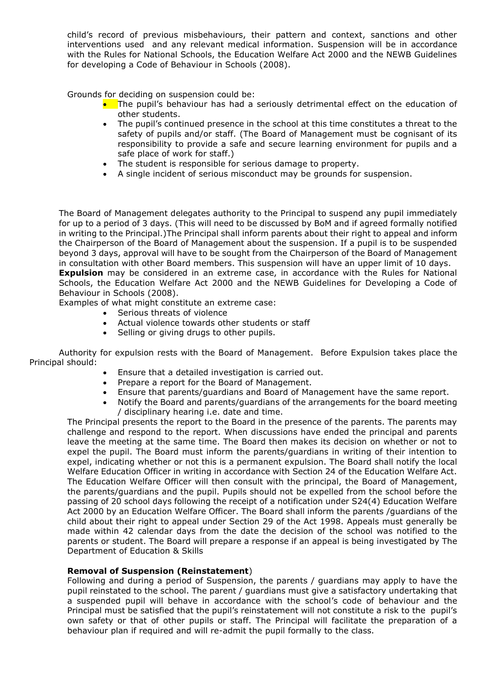child's record of previous misbehaviours, their pattern and context, sanctions and other interventions used and any relevant medical information. Suspension will be in accordance with the Rules for National Schools, the Education Welfare Act 2000 and the NEWB Guidelines for developing a Code of Behaviour in Schools (2008).

Grounds for deciding on suspension could be:

- The pupil's behaviour has had a seriously detrimental effect on the education of other students.
- The pupil's continued presence in the school at this time constitutes a threat to the safety of pupils and/or staff. (The Board of Management must be cognisant of its responsibility to provide a safe and secure learning environment for pupils and a safe place of work for staff.)
- The student is responsible for serious damage to property.
- A single incident of serious misconduct may be grounds for suspension.

The Board of Management delegates authority to the Principal to suspend any pupil immediately for up to a period of 3 days. (This will need to be discussed by BoM and if agreed formally notified in writing to the Principal.)The Principal shall inform parents about their right to appeal and inform the Chairperson of the Board of Management about the suspension. If a pupil is to be suspended beyond 3 days, approval will have to be sought from the Chairperson of the Board of Management in consultation with other Board members. This suspension will have an upper limit of 10 days. **Expulsion** may be considered in an extreme case, in accordance with the Rules for National Schools, the Education Welfare Act 2000 and the NEWB Guidelines for Developing a Code of Behaviour in Schools (2008).

Examples of what might constitute an extreme case:

- Serious threats of violence
- Actual violence towards other students or staff
- Selling or giving drugs to other pupils.

Authority for expulsion rests with the Board of Management. Before Expulsion takes place the Principal should:

- Ensure that a detailed investigation is carried out.
- Prepare a report for the Board of Management.
- Ensure that parents/guardians and Board of Management have the same report.
- Notify the Board and parents/guardians of the arrangements for the board meeting / disciplinary hearing i.e. date and time.

The Principal presents the report to the Board in the presence of the parents. The parents may challenge and respond to the report. When discussions have ended the principal and parents leave the meeting at the same time. The Board then makes its decision on whether or not to expel the pupil. The Board must inform the parents/guardians in writing of their intention to expel, indicating whether or not this is a permanent expulsion. The Board shall notify the local Welfare Education Officer in writing in accordance with Section 24 of the Education Welfare Act. The Education Welfare Officer will then consult with the principal, the Board of Management, the parents/guardians and the pupil. Pupils should not be expelled from the school before the passing of 20 school days following the receipt of a notification under S24(4) Education Welfare Act 2000 by an Education Welfare Officer. The Board shall inform the parents /guardians of the child about their right to appeal under Section 29 of the Act 1998. Appeals must generally be made within 42 calendar days from the date the decision of the school was notified to the parents or student. The Board will prepare a response if an appeal is being investigated by The Department of Education & Skills

#### **Removal of Suspension (Reinstatement**)

Following and during a period of Suspension, the parents / guardians may apply to have the pupil reinstated to the school. The parent / guardians must give a satisfactory undertaking that a suspended pupil will behave in accordance with the school's code of behaviour and the Principal must be satisfied that the pupil's reinstatement will not constitute a risk to the pupil's own safety or that of other pupils or staff. The Principal will facilitate the preparation of a behaviour plan if required and will re-admit the pupil formally to the class.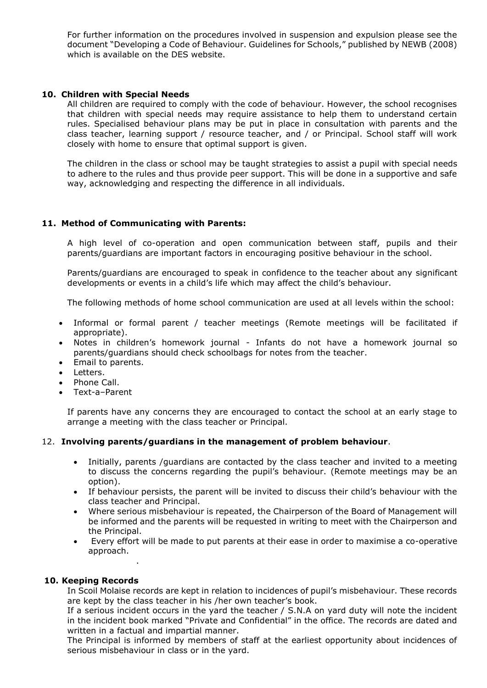For further information on the procedures involved in suspension and expulsion please see the document "Developing a Code of Behaviour. Guidelines for Schools," published by NEWB (2008) which is available on the DES website.

#### **10. Children with Special Needs**

All children are required to comply with the code of behaviour. However, the school recognises that children with special needs may require assistance to help them to understand certain rules. Specialised behaviour plans may be put in place in consultation with parents and the class teacher, learning support / resource teacher, and / or Principal. School staff will work closely with home to ensure that optimal support is given.

The children in the class or school may be taught strategies to assist a pupil with special needs to adhere to the rules and thus provide peer support. This will be done in a supportive and safe way, acknowledging and respecting the difference in all individuals.

### **11. Method of Communicating with Parents:**

A high level of co-operation and open communication between staff, pupils and their parents/guardians are important factors in encouraging positive behaviour in the school.

Parents/guardians are encouraged to speak in confidence to the teacher about any significant developments or events in a child's life which may affect the child's behaviour.

The following methods of home school communication are used at all levels within the school:

- Informal or formal parent / teacher meetings (Remote meetings will be facilitated if appropriate).
- Notes in children's homework journal Infants do not have a homework journal so parents/guardians should check schoolbags for notes from the teacher.
- Email to parents.
- Letters.
- Phone Call.
- Text-a–Parent

If parents have any concerns they are encouraged to contact the school at an early stage to arrange a meeting with the class teacher or Principal.

#### 12. **Involving parents/guardians in the management of problem behaviour**.

- Initially, parents /guardians are contacted by the class teacher and invited to a meeting to discuss the concerns regarding the pupil's behaviour. (Remote meetings may be an option).
- If behaviour persists, the parent will be invited to discuss their child's behaviour with the class teacher and Principal.
- Where serious misbehaviour is repeated, the Chairperson of the Board of Management will be informed and the parents will be requested in writing to meet with the Chairperson and the Principal.
- Every effort will be made to put parents at their ease in order to maximise a co-operative approach.

#### **10. Keeping Records**

.

In Scoil Molaise records are kept in relation to incidences of pupil's misbehaviour. These records are kept by the class teacher in his /her own teacher's book.

If a serious incident occurs in the yard the teacher / S.N.A on yard duty will note the incident in the incident book marked "Private and Confidential" in the office. The records are dated and written in a factual and impartial manner.

The Principal is informed by members of staff at the earliest opportunity about incidences of serious misbehaviour in class or in the yard.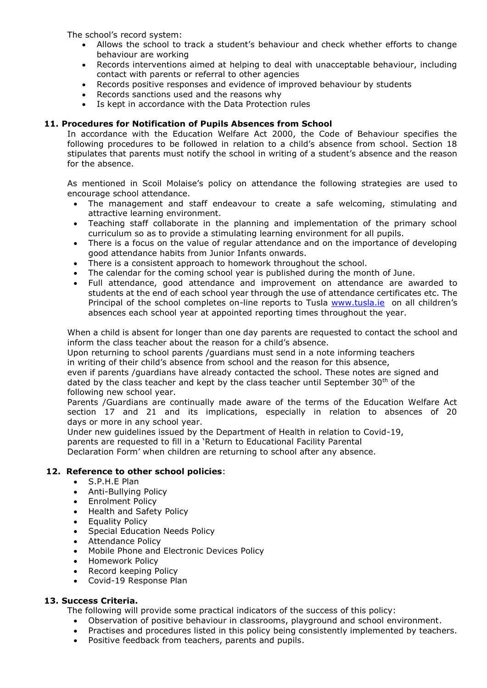The school's record system:

- Allows the school to track a student's behaviour and check whether efforts to change behaviour are working
- Records interventions aimed at helping to deal with unacceptable behaviour, including contact with parents or referral to other agencies
- Records positive responses and evidence of improved behaviour by students
- Records sanctions used and the reasons why
- Is kept in accordance with the Data Protection rules

### **11. Procedures for Notification of Pupils Absences from School**

In accordance with the Education Welfare Act 2000, the Code of Behaviour specifies the following procedures to be followed in relation to a child's absence from school. Section 18 stipulates that parents must notify the school in writing of a student's absence and the reason for the absence.

As mentioned in Scoil Molaise's policy on attendance the following strategies are used to encourage school attendance.

- The management and staff endeavour to create a safe welcoming, stimulating and attractive learning environment.
- Teaching staff collaborate in the planning and implementation of the primary school curriculum so as to provide a stimulating learning environment for all pupils.
- There is a focus on the value of regular attendance and on the importance of developing good attendance habits from Junior Infants onwards.
- There is a consistent approach to homework throughout the school.
- The calendar for the coming school year is published during the month of June.
- Full attendance, good attendance and improvement on attendance are awarded to students at the end of each school year through the use of attendance certificates etc. The Principal of the school completes on-line reports to Tusla [www.tusla.ie](http://www.tusla.ie/) on all children's absences each school year at appointed reporting times throughout the year.

When a child is absent for longer than one day parents are requested to contact the school and inform the class teacher about the reason for a child's absence.

Upon returning to school parents /guardians must send in a note informing teachers in writing of their child's absence from school and the reason for this absence,

even if parents /guardians have already contacted the school. These notes are signed and dated by the class teacher and kept by the class teacher until September  $30<sup>th</sup>$  of the following new school year.

Parents /Guardians are continually made aware of the terms of the Education Welfare Act section 17 and 21 and its implications, especially in relation to absences of 20 days or more in any school year.

Under new guidelines issued by the Department of Health in relation to Covid-19,

parents are requested to fill in a 'Return to Educational Facility Parental

Declaration Form' when children are returning to school after any absence.

#### **12. Reference to other school policies**:

- S.P.H.E Plan
- Anti-Bullying Policy
- Enrolment Policy
- Health and Safety Policy
- Equality Policy
- Special Education Needs Policy
- Attendance Policy
- Mobile Phone and Electronic Devices Policy
- Homework Policy
- Record keeping Policy
- Covid-19 Response Plan

# **13. Success Criteria.**

The following will provide some practical indicators of the success of this policy:

- Observation of positive behaviour in classrooms, playground and school environment.
- Practises and procedures listed in this policy being consistently implemented by teachers.
- Positive feedback from teachers, parents and pupils.